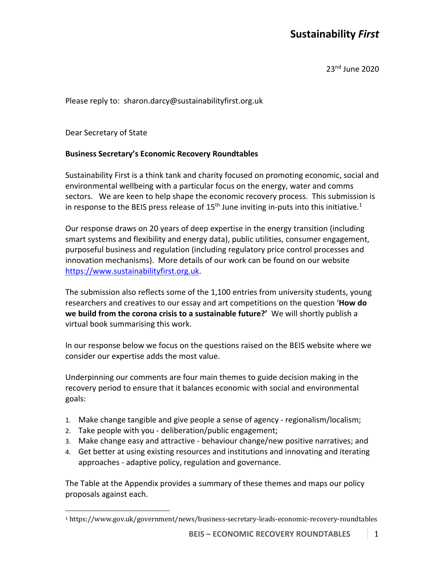# **Sustainability** *First*

23nd June 2020

Please reply to: sharon.darcy@sustainabilityfirst.org.uk

Dear Secretary of State

#### **Business Secretary's Economic Recovery Roundtables**

Sustainability First is a think tank and charity focused on promoting economic, social and environmental wellbeing with a particular focus on the energy, water and comms sectors. We are keen to help shape the economic recovery process. This submission is in response to the BEIS press release of  $15<sup>th</sup>$  June inviting in-puts into this initiative.<sup>1</sup>

Our response draws on 20 years of deep expertise in the energy transition (including smart systems and flexibility and energy data), public utilities, consumer engagement, purposeful business and regulation (including regulatory price control processes and innovation mechanisms). More details of our work can be found on our website https://www.sustainabilityfirst.org.uk.

The submission also reflects some of the 1,100 entries from university students, young researchers and creatives to our essay and art competitions on the question '**How do we build from the corona crisis to a sustainable future?'** We will shortly publish a virtual book summarising this work.

In our response below we focus on the questions raised on the BEIS website where we consider our expertise adds the most value.

Underpinning our comments are four main themes to guide decision making in the recovery period to ensure that it balances economic with social and environmental goals:

- 1. Make change tangible and give people a sense of agency regionalism/localism;
- 2. Take people with you deliberation/public engagement;
- 3. Make change easy and attractive behaviour change/new positive narratives; and
- 4. Get better at using existing resources and institutions and innovating and iterating approaches - adaptive policy, regulation and governance.

The Table at the Appendix provides a summary of these themes and maps our policy proposals against each.

<sup>1</sup> https://www.gov.uk/government/news/business-secretary-leads-economic-recovery-roundtables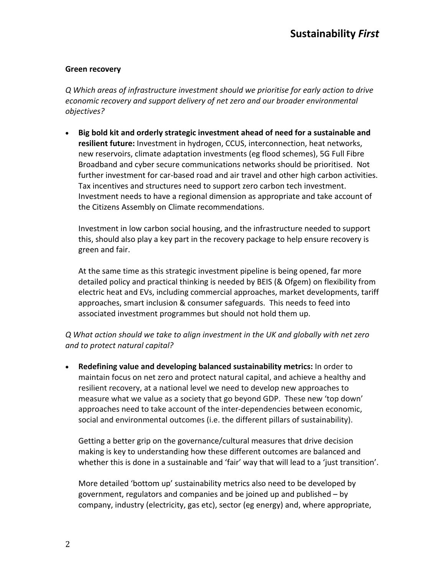### **Green recovery**

*Q Which areas of infrastructure investment should we prioritise for early action to drive economic recovery and support delivery of net zero and our broader environmental objectives?*

• **Big bold kit and orderly strategic investment ahead of need for a sustainable and resilient future:** Investment in hydrogen, CCUS, interconnection, heat networks, new reservoirs, climate adaptation investments (eg flood schemes), 5G Full Fibre Broadband and cyber secure communications networks should be prioritised. Not further investment for car-based road and air travel and other high carbon activities. Tax incentives and structures need to support zero carbon tech investment. Investment needs to have a regional dimension as appropriate and take account of the Citizens Assembly on Climate recommendations.

Investment in low carbon social housing, and the infrastructure needed to support this, should also play a key part in the recovery package to help ensure recovery is green and fair.

At the same time as this strategic investment pipeline is being opened, far more detailed policy and practical thinking is needed by BEIS (& Ofgem) on flexibility from electric heat and EVs, including commercial approaches, market developments, tariff approaches, smart inclusion & consumer safeguards. This needs to feed into associated investment programmes but should not hold them up.

*Q What action should we take to align investment in the UK and globally with net zero and to protect natural capital?*

• **Redefining value and developing balanced sustainability metrics:** In order to maintain focus on net zero and protect natural capital, and achieve a healthy and resilient recovery, at a national level we need to develop new approaches to measure what we value as a society that go beyond GDP. These new 'top down' approaches need to take account of the inter-dependencies between economic, social and environmental outcomes (i.e. the different pillars of sustainability).

Getting a better grip on the governance/cultural measures that drive decision making is key to understanding how these different outcomes are balanced and whether this is done in a sustainable and 'fair' way that will lead to a 'just transition'.

More detailed 'bottom up' sustainability metrics also need to be developed by government, regulators and companies and be joined up and published – by company, industry (electricity, gas etc), sector (eg energy) and, where appropriate,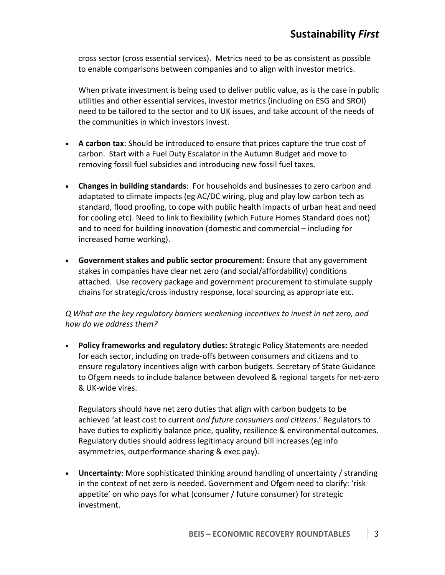cross sector (cross essential services). Metrics need to be as consistent as possible to enable comparisons between companies and to align with investor metrics.

When private investment is being used to deliver public value, as is the case in public utilities and other essential services, investor metrics (including on ESG and SROI) need to be tailored to the sector and to UK issues, and take account of the needs of the communities in which investors invest.

- **A carbon tax**: Should be introduced to ensure that prices capture the true cost of carbon. Start with a Fuel Duty Escalator in the Autumn Budget and move to removing fossil fuel subsidies and introducing new fossil fuel taxes.
- **Changes in building standards**: For households and businesses to zero carbon and adaptated to climate impacts (eg AC/DC wiring, plug and play low carbon tech as standard, flood proofing, to cope with public health impacts of urban heat and need for cooling etc). Need to link to flexibility (which Future Homes Standard does not) and to need for building innovation (domestic and commercial – including for increased home working).
- **Government stakes and public sector procuremen**t: Ensure that any government stakes in companies have clear net zero (and social/affordability) conditions attached. Use recovery package and government procurement to stimulate supply chains for strategic/cross industry response, local sourcing as appropriate etc.

*Q What are the key regulatory barriers weakening incentives to invest in net zero, and how do we address them?*

• **Policy frameworks and regulatory duties:** Strategic Policy Statements are needed for each sector, including on trade-offs between consumers and citizens and to ensure regulatory incentives align with carbon budgets. Secretary of State Guidance to Ofgem needs to include balance between devolved & regional targets for net-zero & UK-wide vires.

Regulators should have net zero duties that align with carbon budgets to be achieved 'at least cost to current *and future consumers and citizens*.' Regulators to have duties to explicitly balance price, quality, resilience & environmental outcomes. Regulatory duties should address legitimacy around bill increases (eg info asymmetries, outperformance sharing & exec pay).

• **Uncertainty**: More sophisticated thinking around handling of uncertainty / stranding in the context of net zero is needed. Government and Ofgem need to clarify: 'risk appetite' on who pays for what (consumer / future consumer) for strategic investment.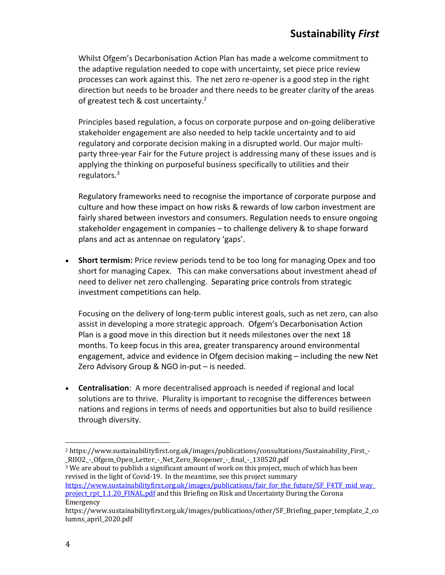Whilst Ofgem's Decarbonisation Action Plan has made a welcome commitment to the adaptive regulation needed to cope with uncertainty, set piece price review processes can work against this. The net zero re-opener is a good step in the right direction but needs to be broader and there needs to be greater clarity of the areas of greatest tech & cost uncertainty.<sup>2</sup>

Principles based regulation, a focus on corporate purpose and on-going deliberative stakeholder engagement are also needed to help tackle uncertainty and to aid regulatory and corporate decision making in a disrupted world. Our major multiparty three-year Fair for the Future project is addressing many of these issues and is applying the thinking on purposeful business specifically to utilities and their regulators. 3

Regulatory frameworks need to recognise the importance of corporate purpose and culture and how these impact on how risks & rewards of low carbon investment are fairly shared between investors and consumers. Regulation needs to ensure ongoing stakeholder engagement in companies – to challenge delivery & to shape forward plans and act as antennae on regulatory 'gaps'.

• **Short termism:** Price review periods tend to be too long for managing Opex and too short for managing Capex. This can make conversations about investment ahead of need to deliver net zero challenging. Separating price controls from strategic investment competitions can help.

Focusing on the delivery of long-term public interest goals, such as net zero, can also assist in developing a more strategic approach. Ofgem's Decarbonisation Action Plan is a good move in this direction but it needs milestones over the next 18 months. To keep focus in this area, greater transparency around environmental engagement, advice and evidence in Ofgem decision making – including the new Net Zero Advisory Group & NGO in-put – is needed.

• **Centralisation**: A more decentralised approach is needed if regional and local solutions are to thrive. Plurality is important to recognise the differences between nations and regions in terms of needs and opportunities but also to build resilience through diversity.

 $3$  We are about to publish a significant amount of work on this project, much of which has been revised in the light of Covid-19. In the meantime, see this project summary

https://www.sustainabilityfirst.org.uk/images/publications/fair\_for\_the\_future/SF\_F4TF\_mid\_way\_ project rpt 1.1.20 FINAL.pdf and this Briefing on Risk and Uncertainty During the Corona Emergency 

<sup>2</sup> https://www.sustainabilityfirst.org.uk/images/publications/consultations/Sustainability\_First\_- \_RIIO2\_-\_Ofgem\_Open\_Letter\_-\_Net\_Zero\_Reopener\_-\_final\_-\_130520.pdf

https://www.sustainabilityfirst.org.uk/images/publications/other/SF\_Briefing\_paper\_template\_2\_co lumns\_april\_2020.pdf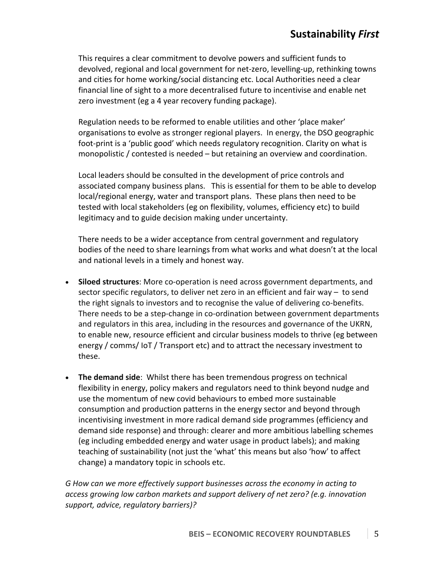This requires a clear commitment to devolve powers and sufficient funds to devolved, regional and local government for net-zero, levelling-up, rethinking towns and cities for home working/social distancing etc. Local Authorities need a clear financial line of sight to a more decentralised future to incentivise and enable net zero investment (eg a 4 year recovery funding package).

Regulation needs to be reformed to enable utilities and other 'place maker' organisations to evolve as stronger regional players. In energy, the DSO geographic foot-print is a 'public good' which needs regulatory recognition. Clarity on what is monopolistic / contested is needed – but retaining an overview and coordination.

Local leaders should be consulted in the development of price controls and associated company business plans. This is essential for them to be able to develop local/regional energy, water and transport plans. These plans then need to be tested with local stakeholders (eg on flexibility, volumes, efficiency etc) to build legitimacy and to guide decision making under uncertainty.

There needs to be a wider acceptance from central government and regulatory bodies of the need to share learnings from what works and what doesn't at the local and national levels in a timely and honest way.

- **Siloed structures**: More co-operation is need across government departments, and sector specific regulators, to deliver net zero in an efficient and fair way – to send the right signals to investors and to recognise the value of delivering co-benefits. There needs to be a step-change in co-ordination between government departments and regulators in this area, including in the resources and governance of the UKRN, to enable new, resource efficient and circular business models to thrive (eg between energy / comms/ IoT / Transport etc) and to attract the necessary investment to these.
- **The demand side**: Whilst there has been tremendous progress on technical flexibility in energy, policy makers and regulators need to think beyond nudge and use the momentum of new covid behaviours to embed more sustainable consumption and production patterns in the energy sector and beyond through incentivising investment in more radical demand side programmes (efficiency and demand side response) and through: clearer and more ambitious labelling schemes (eg including embedded energy and water usage in product labels); and making teaching of sustainability (not just the 'what' this means but also 'how' to affect change) a mandatory topic in schools etc.

*G How can we more effectively support businesses across the economy in acting to access growing low carbon markets and support delivery of net zero? (e.g. innovation support, advice, regulatory barriers)?*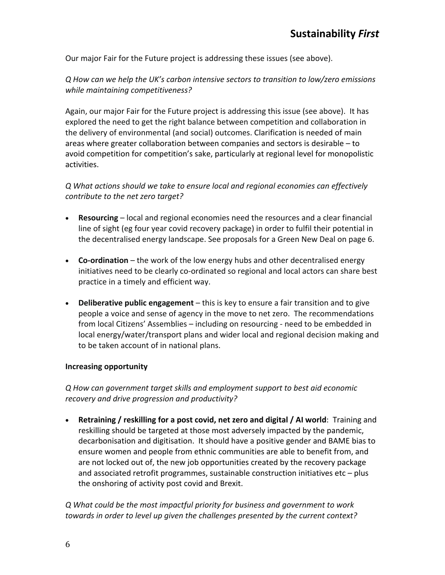Our major Fair for the Future project is addressing these issues (see above).

*Q How can we help the UK's carbon intensive sectors to transition to low/zero emissions while maintaining competitiveness?*

Again, our major Fair for the Future project is addressing this issue (see above). It has explored the need to get the right balance between competition and collaboration in the delivery of environmental (and social) outcomes. Clarification is needed of main areas where greater collaboration between companies and sectors is desirable – to avoid competition for competition's sake, particularly at regional level for monopolistic activities.

*Q What actions should we take to ensure local and regional economies can effectively contribute to the net zero target?*

- **Resourcing** local and regional economies need the resources and a clear financial line of sight (eg four year covid recovery package) in order to fulfil their potential in the decentralised energy landscape. See proposals for a Green New Deal on page 6.
- **Co-ordination** the work of the low energy hubs and other decentralised energy initiatives need to be clearly co-ordinated so regional and local actors can share best practice in a timely and efficient way.
- **Deliberative public engagement** this is key to ensure a fair transition and to give people a voice and sense of agency in the move to net zero. The recommendations from local Citizens' Assemblies – including on resourcing - need to be embedded in local energy/water/transport plans and wider local and regional decision making and to be taken account of in national plans.

#### **Increasing opportunity**

*Q How can government target skills and employment support to best aid economic recovery and drive progression and productivity?*

• **Retraining / reskilling for a post covid, net zero and digital / AI world**: Training and reskilling should be targeted at those most adversely impacted by the pandemic, decarbonisation and digitisation. It should have a positive gender and BAME bias to ensure women and people from ethnic communities are able to benefit from, and are not locked out of, the new job opportunities created by the recovery package and associated retrofit programmes, sustainable construction initiatives etc – plus the onshoring of activity post covid and Brexit.

*Q What could be the most impactful priority for business and government to work towards in order to level up given the challenges presented by the current context?*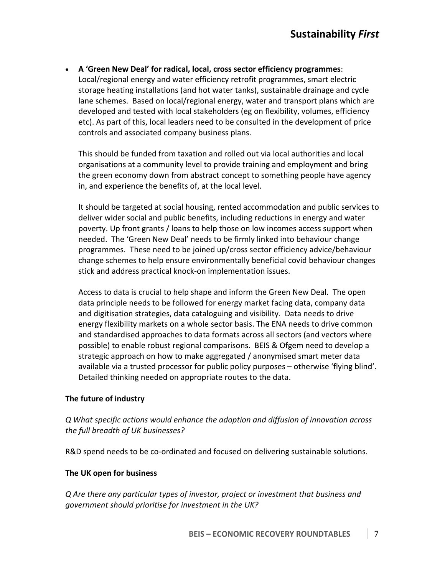• **A 'Green New Deal' for radical, local, cross sector efficiency programmes**: Local/regional energy and water efficiency retrofit programmes, smart electric storage heating installations (and hot water tanks), sustainable drainage and cycle lane schemes. Based on local/regional energy, water and transport plans which are developed and tested with local stakeholders (eg on flexibility, volumes, efficiency etc). As part of this, local leaders need to be consulted in the development of price controls and associated company business plans.

This should be funded from taxation and rolled out via local authorities and local organisations at a community level to provide training and employment and bring the green economy down from abstract concept to something people have agency in, and experience the benefits of, at the local level.

It should be targeted at social housing, rented accommodation and public services to deliver wider social and public benefits, including reductions in energy and water poverty. Up front grants / loans to help those on low incomes access support when needed. The 'Green New Deal' needs to be firmly linked into behaviour change programmes. These need to be joined up/cross sector efficiency advice/behaviour change schemes to help ensure environmentally beneficial covid behaviour changes stick and address practical knock-on implementation issues.

Access to data is crucial to help shape and inform the Green New Deal. The open data principle needs to be followed for energy market facing data, company data and digitisation strategies, data cataloguing and visibility. Data needs to drive energy flexibility markets on a whole sector basis. The ENA needs to drive common and standardised approaches to data formats across all sectors (and vectors where possible) to enable robust regional comparisons. BEIS & Ofgem need to develop a strategic approach on how to make aggregated / anonymised smart meter data available via a trusted processor for public policy purposes – otherwise 'flying blind'. Detailed thinking needed on appropriate routes to the data.

## **The future of industry**

*Q What specific actions would enhance the adoption and diffusion of innovation across the full breadth of UK businesses?*

R&D spend needs to be co-ordinated and focused on delivering sustainable solutions.

## **The UK open for business**

*Q Are there any particular types of investor, project or investment that business and government should prioritise for investment in the UK?*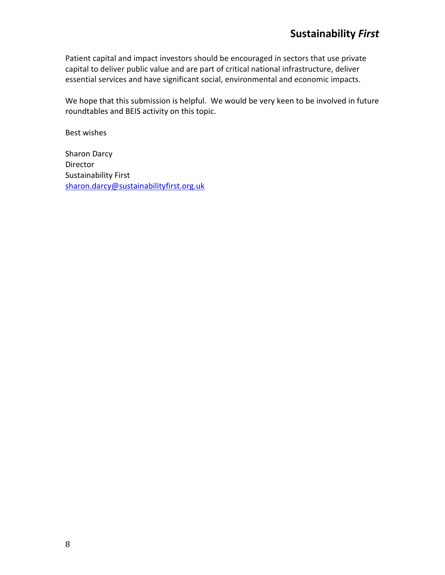Patient capital and impact investors should be encouraged in sectors that use private capital to deliver public value and are part of critical national infrastructure, deliver essential services and have significant social, environmental and economic impacts.

We hope that this submission is helpful. We would be very keen to be involved in future roundtables and BEIS activity on this topic.

Best wishes

Sharon Darcy Director Sustainability First sharon.darcy@sustainabilityfirst.org.uk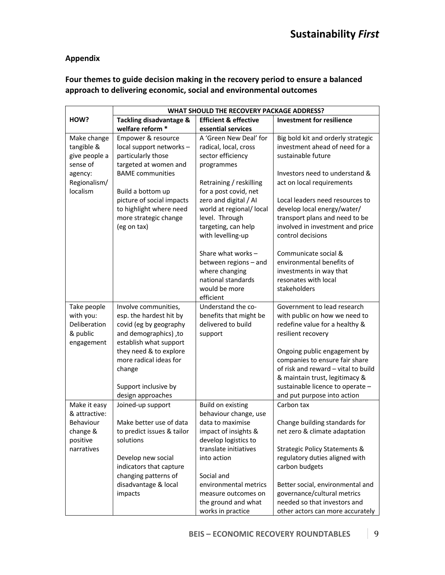## **Appendix**

# **Four themes to guide decision making in the recovery period to ensure a balanced approach to delivering economic, social and environmental outcomes**

|               | WHAT SHOULD THE RECOVERY PACKAGE ADDRESS? |                                          |                                                                       |  |
|---------------|-------------------------------------------|------------------------------------------|-----------------------------------------------------------------------|--|
| HOW?          | Tackling disadvantage &                   | <b>Efficient &amp; effective</b>         | <b>Investment for resilience</b>                                      |  |
|               | welfare reform *                          | essential services                       |                                                                       |  |
| Make change   | Empower & resource                        | A 'Green New Deal' for                   | Big bold kit and orderly strategic                                    |  |
| tangible &    | local support networks -                  | radical, local, cross                    | investment ahead of need for a                                        |  |
| give people a | particularly those                        | sector efficiency                        | sustainable future                                                    |  |
| sense of      | targeted at women and                     | programmes                               |                                                                       |  |
| agency:       | <b>BAME</b> communities                   |                                          | Investors need to understand &                                        |  |
| Regionalism/  |                                           | Retraining / reskilling                  | act on local requirements                                             |  |
| localism      | Build a bottom up                         | for a post covid, net                    |                                                                       |  |
|               | picture of social impacts                 | zero and digital / AI                    | Local leaders need resources to                                       |  |
|               | to highlight where need                   | world at regional/local                  | develop local energy/water/                                           |  |
|               | more strategic change                     | level. Through                           | transport plans and need to be                                        |  |
|               | (eg on tax)                               | targeting, can help                      | involved in investment and price                                      |  |
|               |                                           | with levelling-up                        | control decisions                                                     |  |
|               |                                           | Share what works -                       | Communicate social &                                                  |  |
|               |                                           | between regions - and                    | environmental benefits of                                             |  |
|               |                                           | where changing                           | investments in way that                                               |  |
|               |                                           | national standards                       | resonates with local                                                  |  |
|               |                                           | would be more                            | stakeholders                                                          |  |
|               |                                           | efficient                                |                                                                       |  |
| Take people   | Involve communities,                      | Understand the co-                       | Government to lead research                                           |  |
| with you:     | esp. the hardest hit by                   | benefits that might be                   | with public on how we need to                                         |  |
| Deliberation  | covid (eg by geography                    | delivered to build                       | redefine value for a healthy &                                        |  |
| & public      | and demographics), to                     | support                                  | resilient recovery                                                    |  |
| engagement    | establish what support                    |                                          |                                                                       |  |
|               | they need & to explore                    |                                          | Ongoing public engagement by                                          |  |
|               | more radical ideas for<br>change          |                                          | companies to ensure fair share<br>of risk and reward - vital to build |  |
|               |                                           |                                          | & maintain trust, legitimacy &                                        |  |
|               | Support inclusive by                      |                                          | sustainable licence to operate -                                      |  |
|               | design approaches                         |                                          | and put purpose into action                                           |  |
| Make it easy  | Joined-up support                         | <b>Build on existing</b>                 | Carbon tax                                                            |  |
| & attractive: |                                           | behaviour change, use                    |                                                                       |  |
| Behaviour     | Make better use of data                   | data to maximise                         | Change building standards for                                         |  |
| change &      | to predict issues & tailor                | impact of insights &                     | net zero & climate adaptation                                         |  |
| positive      | solutions                                 | develop logistics to                     |                                                                       |  |
| narratives    |                                           | translate initiatives                    | <b>Strategic Policy Statements &amp;</b>                              |  |
|               | Develop new social                        | into action                              | regulatory duties aligned with                                        |  |
|               | indicators that capture                   |                                          | carbon budgets                                                        |  |
|               | changing patterns of                      | Social and                               |                                                                       |  |
|               | disadvantage & local                      | environmental metrics                    | Better social, environmental and                                      |  |
|               | impacts                                   | measure outcomes on                      | governance/cultural metrics<br>needed so that investors and           |  |
|               |                                           | the ground and what<br>works in practice |                                                                       |  |
|               |                                           |                                          | other actors can more accurately                                      |  |